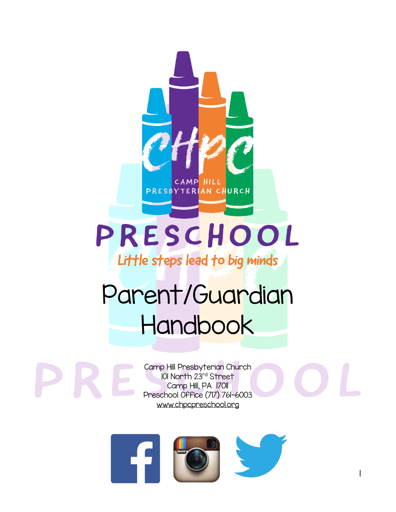

# PRESCHOOL

Little steps lead to big minds

# Parent/Guardian **Handbook**

Camp Hill Presbyterian Church 101 North 23rd Street Camp Hill, PA 1701 Preschool Office (717) 761-6003 www.chpcpreschool.org



|<br>|

I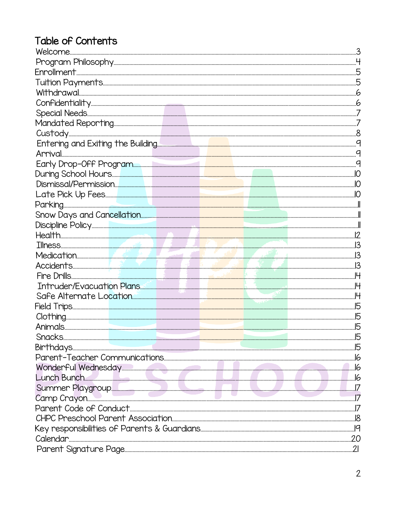# Table of Contents

| 3   |
|-----|
|     |
|     |
|     |
|     |
|     |
|     |
|     |
|     |
|     |
|     |
|     |
|     |
|     |
|     |
|     |
|     |
|     |
|     |
|     |
|     |
|     |
|     |
|     |
|     |
|     |
|     |
| .15 |
|     |
|     |
|     |
|     |
|     |
|     |
|     |
|     |
|     |
|     |
|     |
|     |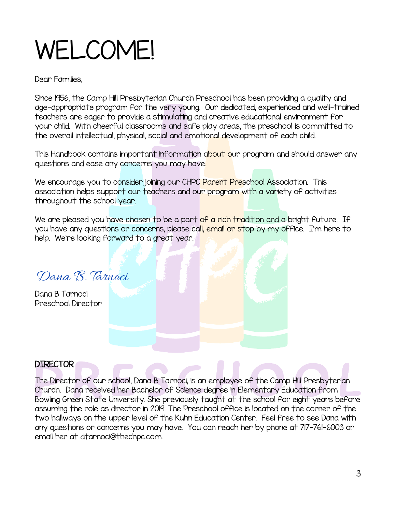# WELCOME!

Dear Families,

Since 1956, the Camp Hill Presbyterian Church Preschool has been providing a quality and age-appropriate program for the very young. Our dedicated, experienced and well-trained teachers are eager to provide a stimulating and creative educational environment for your child. With cheerful classrooms and safe play areas, the preschool is committed to the overall intellectual, physical, social and emotional development of each child.

This Handbook contains important information about our program and should answer any questions and ease any concerns you may have.

We encourage you to consider joining our CHPC Parent Preschool Association. This association helps support our teachers and our program with a variety of activities throughout the school year.

We are pleased you have chosen to be a part of a rich tradition and a bright future. If you have any questions or concerns, please call, email or stop by my office. I'm here to help. We're looking forward to a great year.

Dana R. Tarnoci

Dana B Tarnoci Preschool Director

#### DIRECTOR

The Director of our school, Dana B Tarnoci, is an employee of the Camp Hill Presbyterian Church. Dana received her Bachelor of Science degree in Elementary Education from Bowling Green State University. She previously taught at the school for eight years before assuming the role as director in 2019. The Preschool office is located on the corner of the two hallways on the upper level of the Kuhn Education Center. Feel free to see Dana with any questions or concerns you may have. You can reach her by phone at 717-761-6003 or email her at dtarnoci@thechpc.com.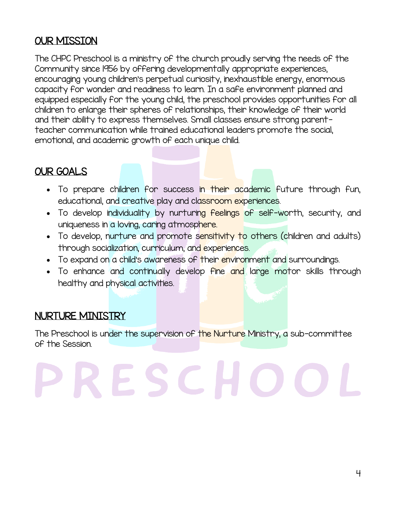# OUR MISSION

The CHPC Preschool is a ministry of the church proudly serving the needs of the Community since 1956 by offering developmentally appropriate experiences, encouraging young children's perpetual curiosity, inexhaustible energy, enormous capacity for wonder and readiness to learn. In a safe environment planned and equipped especially for the young child, the preschool provides opportunities for all children to enlarge their spheres of relationships, their knowledge of their world and their ability to express themselves. Small classes ensure strong parentteacher communication while trained educational leaders promote the social, emotional, and academic growth of each unique child.

# OUR GOALS

• To prepare children for success in their academic future through fun, educational, and creative play and classroom experiences.

ï

- To develop individuality by nurturing feelings of self-worth, security, and uniqueness in a loving, caring atmosphere.
- To develop, nurture and promote sensitivity to others (children and adults) through socialization, curriculum, and experiences.
- To expand on a child's awareness of their environment and surroundings.
- To enhance and continually develop fine and large motor skills through healthy and physical activities.

# NURTURE MINISTRY

The Preschool is under the supervision of the Nurture Ministry, a sub-committee of the Session.

# Í SCI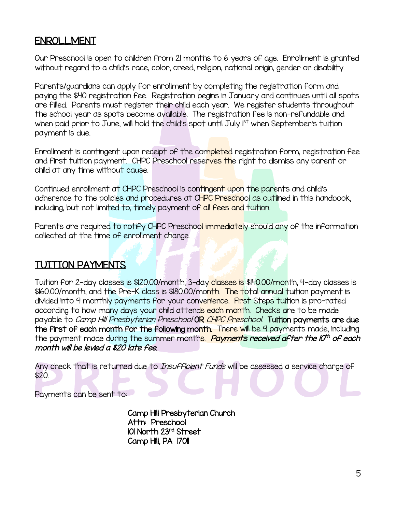#### ENROLLMENT

Our Preschool is open to children from 21 months to 6 years of age. Enrollment is granted without regard to a child's race, color, creed, religion, national origin, gender or disability.

Parents/guardians can apply for enrollment by completing the registration form and paying the \$40 registration fee. Registration begins in January and continues until all spots are filled. Parents must register their child each year. We register students throughout the school year as spots become available. The registration fee is non-refundable and when paid prior to June, will hold the child's spot until July  $I<sup>st</sup>$  when September's tuition payment is due.

Enrollment is contingent upon receipt of the completed registration form, registration fee and first tuition payment. CHPC Preschool reserves the right to dismiss any parent or child at any time without cause.

Continued enrollment at CHPC Preschool is contingent upon the parents and child's adherence to the policies and procedures at CHPC Preschool as outlined in this handbook, including, but not limited to, timely payment of all fees and tuition.

Parents are required to notify CHPC Preschool immediately should any of the information collected at the time of enrollment change.

#### TUITION PAYMENTS

Tuition for 2-day classes is \$120.00/month, 3-day classes is \$140.00/month, 4-day classes is \$160.00/month, and the Pre-K class is \$180.00/month. The total annual tuition payment is divided into 9 monthly payments for your convenience. First Steps tuition is pro-rated according to how many days your child attends each month. Checks are to be made payable to *Camp Hill Presbyterian Preschool* OR CHPC Preschool. Tuition payments are due the first of each month for the following month. There will be 9 payments made, including the payment made during the summer month<mark>s. *Payments received after the IO<sup>th</sup> of each* </u></mark> month will be levied a \$20 late fee.

Any check that is returned due to *Insufficient Funds* will be assessed a service charge of \$20.

Payments can be sent to:

Camp Hill Presbyterian Church Attn: Preschool 101 North 23rd Street Camp Hill, PA 1701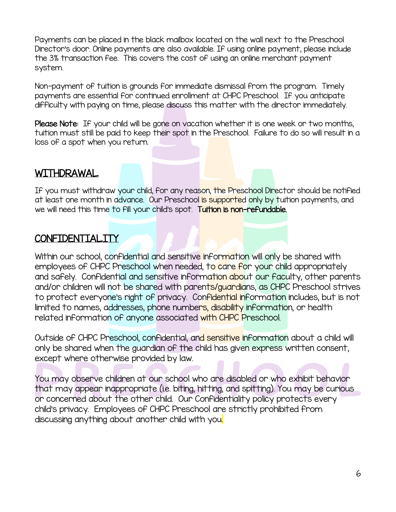Payments can be placed in the black mailbox located on the wall next to the Preschool Director's door. Online payments are also available. If using online payment, please include the 3% transaction fee. This covers the cost of using an online merchant payment system.

Non-payment of tuition is grounds for immediate dismissal from the program. Timely payments are essential for continued enrollment at CHPC Preschool. If you anticipate difficulty with paying on time, please discuss this matter with the director immediately.

Please Note: If your child will be gone on vacation whether it is one week or two months, tuition must still be paid to keep their spot in the Preschool. Failure to do so will result in a loss of a spot when you return.

Í

#### WITHDRAWAL

If you must withdraw your child, for any reason, the Preschool Director should be notified at least one month in advance. Our Preschool is supported only by tuition payments, and we will need this time to fill your child's spot. Tuition is non-refundable.

#### CONFIDENTIALITY

Within our school, confidential and sensitive information will only be shared with employees of CHPC Preschool when needed, to care for your child appropriately and safely. Confidential and sensitive information about our faculty, other parents and/or children will not be shared with parents/guardians, as CHPC Preschool strives to protect everyone's right of privacy. Confidential information includes, but is not limited to names, addresses, phone numbers, disability information, or health related information of anyone associated with CHPC Preschool.

Outside of CHPC Preschool, confidential, and sensitive information about a child will only be shared when the guardian of the child has given express written consent, except where otherwise provided by law.

You may observe children at our school who are disabled or who exhibit behavior that may appear inappropriate (i.e. biting, hitting, and spitting). You may be curious or concerned about the other child. Our Confidentiality policy protects every child's privacy. Employees of CHPC Preschool are strictly prohibited from discussing anything about another child with you.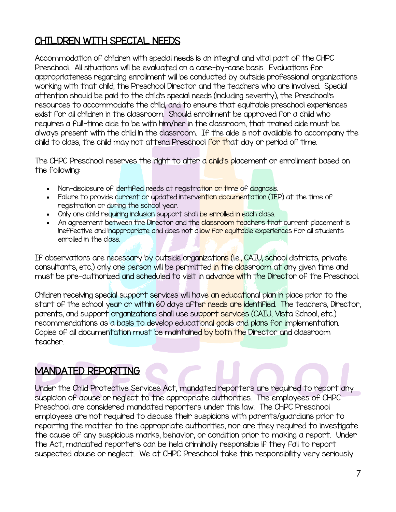# CHILDREN WITH SPECIAL NEEDS

Accommodation of children with special needs is an integral and vital part of the CHPC Preschool. All situations will be evaluated on a case-by-case basis. Evaluations for appropriateness regarding enrollment will be conducted by outside professional organizations working with that child, the Preschool Director and the teachers who are involved. Special attention should be paid to the child's special needs (including severity), the Preschool's resources to accommodate the child, and to ensure that equitable preschool experiences exist for all children in the classroom. Should enrollment be approved for a child who requires a full-time aide to be with him/her in the classroom, that trained aide must be always present with the child in the classroom. If the aide is not available to accompany the child to class, the child may not attend Preschool for that day or period of time.

The CHPC Preschool reserves the right to alter a child's placement or enrollment based on the following:

- Non-disclosure of identified needs at registration or time of diagnosis.
- Failure to provide current or updated intervention documentation (IEP) at the time of registration or during the school year.
- Only one child requiring inclusion support shall be enrolled in each class.
- An agreement between the Director and the classroom teachers that current placement is ineffective and inappropriate and does not allow for equitable experiences for all students enrolled in the class.

If observations are necessary by outside organizations (i.e., CAIU, school districts, private consultants, etc.) only one person will be permitted in the classroom at any given time and must be pre-authorized and scheduled to visit in advance with the Director of the Preschool.

Children receiving special support services will have an educational plan in place prior to the start of the school year or within 60 days after needs are identified. The teachers, Director, parents, and support organizations shall use support services (CAIU, Vista School, etc.) recommendations as a basis to develop educational goals and plans for implementation. Copies of all documentation must be maintained by both the Director and classroom teacher.

#### MANDATED REPORTING

Under the Child Protective Services Act, mandated reporters are required to report any suspicion of abuse or neglect to the appropriate authorities. The employees of CHPC Preschool are considered mandated reporters under this law. The CHPC Preschool employees are not required to discuss their suspicions with parents/guardians prior to reporting the matter to the appropriate authorities, nor are they required to investigate the cause of any suspicious marks, behavior, or condition prior to making a report. Under the Act, mandated reporters can be held criminally responsible if they fail to report suspected abuse or neglect. We at CHPC Preschool take this responsibility very seriously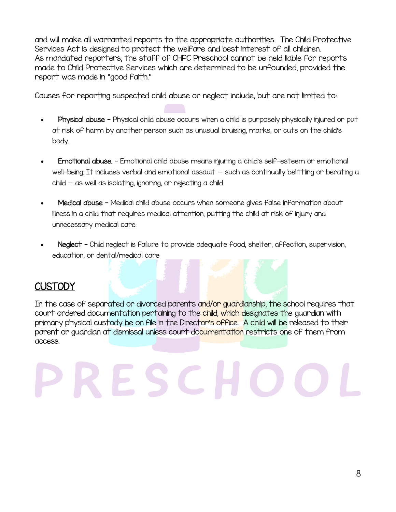and will make all warranted reports to the appropriate authorities. The Child Protective Services Act is designed to protect the welfare and best interest of all children. As mandated reporters, the staff of CHPC Preschool cannot be held liable for reports made to Child Protective Services which are determined to be unfounded, provided the report was made in "good faith."

Causes for reporting suspected child abuse or neglect include, but are not limited to:

- Physical abuse Physical child abuse occurs when a child is purposely physically injured or put at risk of harm by another person such as unusual bruising, marks, or cuts on the child's body.
- Emotional abuse. Emotional child abuse means injuring a child's self-esteem or emotional well-being. It includes verbal and emotional assault - such as continually belittling or berating a child — as well as isolating, ignoring, or rejecting a child.
- Medical abuse Medical child abuse occurs when someone gives false information about illness in a child that requires medical attention, putting the child at risk of injury and unnecessary medical care.
- Neglect Child neglect is failure to provide adequate food, shelter, affection, supervision, education, or dental/medical care

# **CUSTODY**

In the case of separated or divorced parents and/or guardianship, the school requires that court ordered documentation pertaining to the child, which designates the guardian with primary physical custody be on file in the Director's office. A child will be released to their parent or guardian at dismissal unless court documentation restricts one of them from access.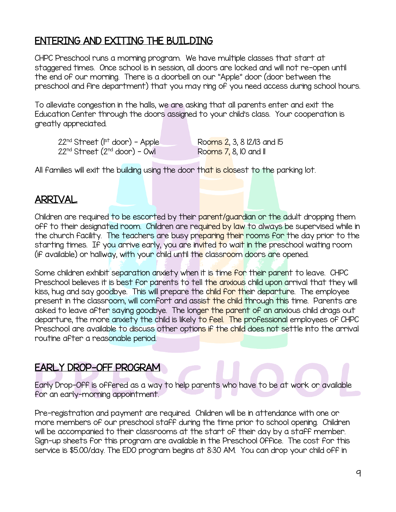#### ENTERING AND EXITING THE BUILDING

CHPC Preschool runs a morning program. We have multiple classes that start at staggered times. Once school is in session, all doors are locked and will not re-open until the end of our morning. There is a doorbell on our "Apple" door (door between the preschool and fire department) that you may ring of you need access during school hours.

To alleviate congestion in the halls, we are asking that all parents enter and exit the Education Center through the doors assigned to your child's class. Your cooperation is greatly appreciated.

 $22<sup>nd</sup> Street ( $1<sup>st</sup> door$ ) - Apple *Rooms 2*, 3, 8  $12/13$  and 15$  $22<sup>nd</sup> Street (2<sup>nd</sup> door) - Owl$ 

Rooms  $\overline{7}$ , 8, 10 and 11

All families will exit the building using the door that is closest to the parking lot.

#### ARRIVAL

Children are required to be escorted by their parent/guardian or the adult dropping them off to their designated room. Children are required by law to always be supervised while in the church facility. The teachers are busy preparing their rooms for the day prior to the starting times. If you arrive early, you are invited to wait in the preschool waiting room (if available) or hallway, with your child until the classroom doors are opened.

Some children exhibit separation anxiety when it is time for their parent to leave. CHPC Preschool believes it is best for parents to tell the anxious child upon arrival that they will kiss, hug and say goodbye. This will prepare the child for their departure. The employee present in the classroom, will comfort and assist the child through this time. Parents are asked to leave after saying goodbye. The longer the parent of an anxious child drags out departure, the more anxiety the child is likely to feel. The professional employees of CHPC Preschool are available to discuss other options if the child does not settle into the arrival routine after a reasonable period.

#### EARLY DROP-OFF PROGRAM

Early Drop-Off is offered as a way to help parents who have to be at work or available for an early-morning appointment.

Pre-registration and payment are required. Children will be in attendance with one or more members of our preschool staff during the time prior to school opening. Children will be accompanied to their classrooms at the start of their day by a staff member. Sign-up sheets for this program are available in the Preschool Office. The cost for this service is \$5.00/day. The EDO program begins at 8:30 AM. You can drop your child off in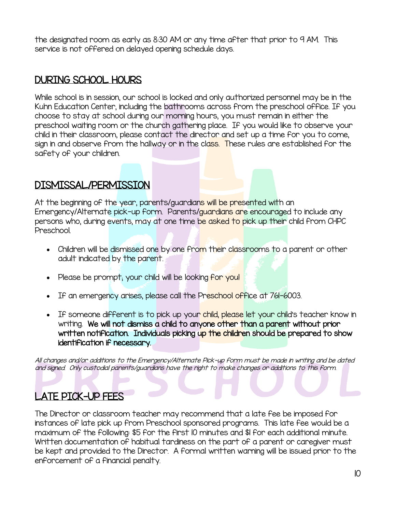the designated room as early as 8:30 AM or any time after that prior to 9 AM. This service is not offered on delayed opening schedule days.

# DURING SCHOOL HOURS

While school is in session, our school is locked and only authorized personnel may be in the Kuhn Education Center, including the bathrooms across from the preschool office. If you choose to stay at school during our morning hours, you must remain in either the preschool waiting room or the church gathering place. If you would like to observe your child in their classroom, please contact the director and set up a time for you to come, sign in and observe from the hallway or in the class. These rules are established for the safety of your children.

#### DISMISSAL/PERMISSION

At the beginning of the year, parents/guardians will be presented with an Emergency/Alternate pick-up form. Parents/guardians are encouraged to include any persons who, during events, may at one time be asked to pick up their child from CHPC Preschool.

- Children will be dismissed one by one from their classrooms to a parent or other adult indicated by the parent.
- Please be prompt; your child will be looking for you!
- If an emergency arises, please call the Preschool office at 761-6003.
- If someone different is to pick up your child, please let your child's teacher know in writing. We will not dismiss a child to anyone other than a parent without prior written notification. Individuals picking up the children should be prepared to show identification if necessary.

All changes and/or additions to the Emergency/Alternate Pick-up form must be made in writing and be dated and signed. Only custodial parents/guardians have the right to make changes or additions to this form.

# LATE PICK-UP FEES

The Director or classroom teacher may recommend that a late fee be imposed for instances of late pick up from Preschool sponsored programs. This late fee would be a maximum of the following: \$5 for the first 10 minutes and \$1 for each additional minute. Written documentation of habitual tardiness on the part of a parent or caregiver must be kept and provided to the Director. A formal written warning will be issued prior to the enforcement of a financial penalty.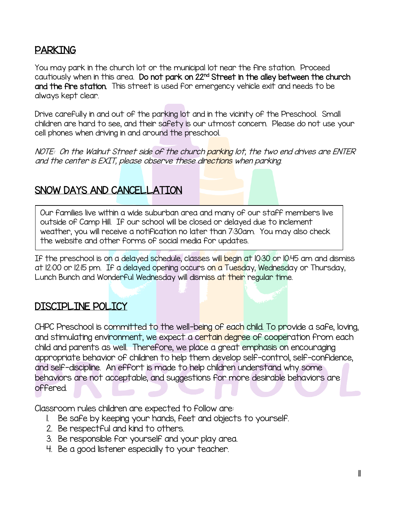#### PARKING

 $\overline{\phantom{a}}$ 

You may park in the church lot or the municipal lot near the fire station. Proceed cautiously when in this area. Do **not park on 22<sup>nd</sup> Street in the alley between the church** and the fire station. This street is used for emergency vehicle exit and needs to be always kept clear.

Drive carefully in and out of the parking lot and in the vicinity of the Preschool. Small children are hard to see, and their safety is our utmost concern. Please do not use your cell phones when driving in and around the preschool.

NOTE: On the Walnut Street side of the church parking lot, the two end drives are ENTER and the center is EXIT, please observe these directions when parking.

#### SNOW DAYS AND CANCELLATION

 Our families live within a wide suburban area and many of our staff members live outside of Camp Hill. If our school will be closed or delayed due to inclement weather, you will receive a notification no later than 7:30am. You may also check the website and other forms of social media for updates.

If the preschool is on a delayed schedule, classes will begin at 10:30 or 10:45 am and dismiss at 12:00 or 12:15 pm. If a delayed opening occurs on a Tuesday, Wednesday or Thursday, Lunch Bunch and Wonderful Wednesday will dismiss at their regular time. j

#### DISCIPLINE POLICY

CHPC Preschool is committed to the well-being of each child. To provide a safe, loving, and stimulating environment, we expect a certain degree of cooperation from each child and parents as well. Therefore, we place a great emphasis on encouraging appropriate behavior of children to help them develop self-control, self-confidence, and self-discipline. An effort is made to help children understand why some behaviors are not acceptable, and suggestions for more desirable behaviors are offered.

Classroom rules children are expected to follow are:

- 1. Be safe by keeping your hands, feet and objects to yourself.
- 2. Be respectful and kind to others.
- 3. Be responsible for yourself and your play area.
- 4. Be a good listener especially to your teacher.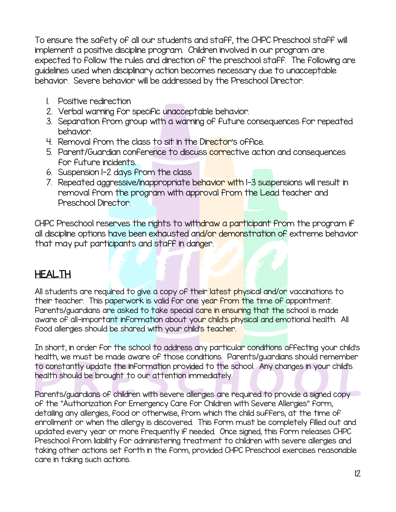To ensure the safety of all our students and staff, the CHPC Preschool staff will implement a positive discipline program. Children involved in our program are expected to follow the rules and direction of the preschool staff. The following are guidelines used when disciplinary action becomes necessary due to unacceptable behavior. Severe behavior will be addressed by the Preschool Director.

- 1. Positive redirection
- 2. Verbal warning for specific unacceptable behavior.
- 3. Separation from group with a warning of future consequences for repeated behavior.
- 4. Removal from the class to sit in the Director's office.
- 5. Parent/Guardian conference to discuss corrective action and consequences for future incidents.
- 6. Suspension 1-2 days from the class
- 7. Repeated aggressive/inappropriate behavior with 1-3 suspensions will result in removal from the program with approval from the Lead teacher and Preschool Director.

CHPC Preschool reserves the rights to withdraw a participant from the program if all discipline options have been exhausted and/or demonstration of extreme behavior that may put participants and staff in danger.

# **HEALTH**

All students are required to give a copy of their latest physical and/or vaccinations to their teacher. This paperwork is valid for one year from the time of appointment. Parents/guardians are asked to take special care in ensuring that the school is made aware of all-important information about your child's physical and emotional health. All food allergies should be shared with your child's teacher.

In short, in order for the school to address any particular conditions affecting your child's health, we must be made aware of those conditions. Parents/guardians should remember to constantly update the information provided to the school. Any changes in your child's health should be brought to our attention immediately.

Parents/guardians of children with severe allergies are required to provide a signed copy of the "Authorization for Emergency Care for Children with Severe Allergies" form, detailing any allergies, food or otherwise, from which the child suffers, at the time of enrollment or when the allergy is discovered. This form must be completely filled out and updated every year or more frequently if needed. Once signed, this form releases CHPC Preschool from liability for administering treatment to children with severe allergies and taking other actions set forth in the form, provided CHPC Preschool exercises reasonable care in taking such actions.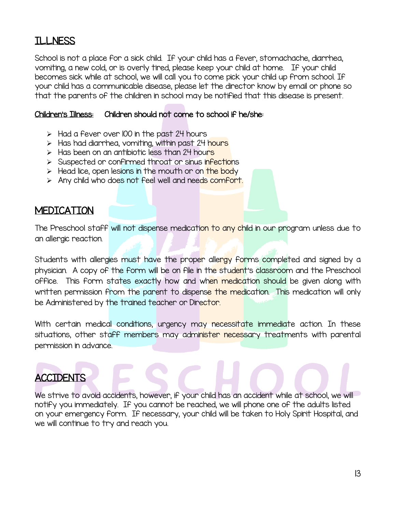#### ILLNESS

School is not a place for a sick child. If your child has a fever, stomachache, diarrhea, vomiting, a new cold, or is overly tired, please keep your child at home. If your child becomes sick while at school, we will call you to come pick your child up from school. If your child has a communicable disease, please let the director know by email or phone so that the parents of the children in school may be notified that this disease is present.

#### Children's Illness: Children should not come to school if he/she:

- $\triangleright$  Had a fever over 100 in the past 24 hours
- $\triangleright$  Has had diarrhea, vomiting, within past 24 hours
- $\triangleright$  Has been on an antibiotic less than 24 hours
- $\triangleright$  Suspected or confirmed throat or sinus infections
- $\triangleright$  Head lice, open lesions in the mouth or on the body
- > Any child who does not feel well and needs comfort.

#### **MEDICATION**

The Preschool staff will not dispense medication to any child in our program unless due to an allergic reaction.

Students with allergies must have the proper allergy forms completed and signed by a physician. A copy of the form will be on file in the student's classroom and the Preschool office. This form states exactly how and when medication should be given along with written permission from the parent to dispense the medication. This medication will only be Administered by the trained teacher or Director.

With certain medical conditions, urgency may necessitate immediate action. In these situations, other staff members may administer necessary treatments with parental permission in advance.

# **ACCIDENTS**

We strive to avoid accidents, however, if your child has an accident while at school, we will notify you immediately. If you cannot be reached, we will phone one of the adults listed on your emergency form. If necessary, your child will be taken to Holy Spirit Hospital, and we will continue to try and reach you.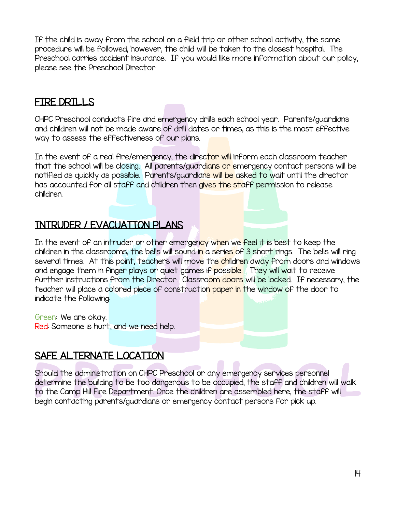If the child is away from the school on a field trip or other school activity, the same procedure will be followed, however, the child will be taken to the closest hospital. The Preschool carries accident insurance. If you would like more information about our policy, please see the Preschool Director.

#### FIRE DRILLS

CHPC Preschool conducts fire and emergency drills each school year. Parents/guardians and children will not be made aware of drill dates or times, as this is the most effective way to assess the effectiveness of our plans.

In the event of a real fire/emergency, the director will inform each classroom teacher that the school will be closing. All parents/guardians or emergency contact persons will be notified as quickly as possible. Parents/guardians will be asked to wait until the director has accounted for all staff and children then gives the staff permission to release children.

### INTRUDER / EVACUATION PLANS

In the event of an intruder or other emergency when we feel it is best to keep the children in the classrooms, the bells will sound in a series of 3 short rings. The bells will ring several times. At this point, teachers will move the children away from doors and windows and engage them in finger plays or quiet games if possible. They will wait to receive further instructions from the Director. Classroom doors will be locked. If necessary, the teacher will place a colored piece of construction paper in the window of the door to indicate the following:

Green: We are okay. Red: Someone is hurt, and we need help.

#### SAFE ALTERNATE LOCATION

Should the administration on CHPC Preschool or any emergency services personnel determine the building to be too dangerous to be occupied, the staff and children will walk to the Camp Hill Fire Department. Once the children are assembled here, the staff will begin contacting parents/guardians or emergency contact persons for pick up.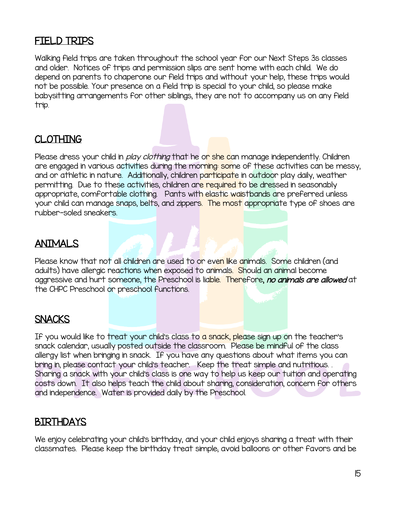#### FIELD TRIPS

Walking field trips are taken throughout the school year for our Next Steps 3s classes and older. Notices of trips and permission slips are sent home with each child. We do depend on parents to chaperone our field trips and without your help, these trips would not be possible. Your presence on a field trip is special to your child, so please make babysitting arrangements for other siblings, they are not to accompany us on any field trip.

#### CLOTHING

Please dress your child in *play clothing* that he on she can manage independently. Children are engaged in various activities during the morning: some of these activities can be messy, and or athletic in nature. Additionally, children participate in outdoor play daily, weather permitting. Due to these activities, children are required to be dressed in seasonably appropriate, comfortable clothing. Pants with elastic waistbands are preferred unless your child can manage snaps, belts, and zippers. The most appropriate type of shoes are rubber-soled sneakers.

#### ANIMALS

Please know that not all children are used to or even like animals. Some children (and adults) have allergic reactions when exposed to animals. Should an animal become aggressive and hurt someone, the Preschool is liable. Therefore, no animals are allowed at the CHPC Preschool or preschool functions.

#### **SNACKS**

If you would like to treat your child's class to a snack, please sign up on the teacher's snack calendar, usually posted outside the classroom. Please be mindful of the class allergy list when bringing in snack. If you have any questions about what items you can bring in, please contact your child's teacher. Keep the treat simple and nutritious. . Sharing a snack with your child's class is one way to help us keep our tuition and operating costs down. It also helps teach the child about sharing, consideration, concern for others and independence. Water is provided daily by the Preschool.

#### BIRTHDAYS

We enjoy celebrating your child's birthday, and your child enjoys sharing a treat with their classmates. Please keep the birthday treat simple; avoid balloons or other favors and be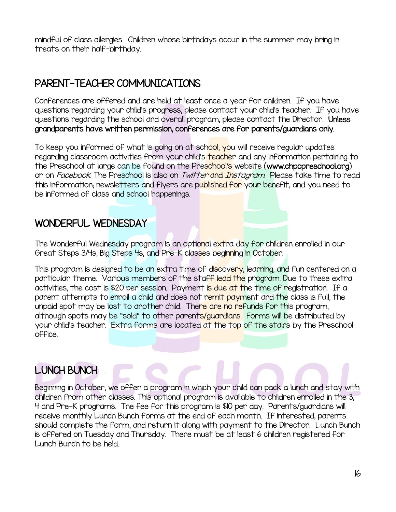mindful of class allergies. Children whose birthdays occur in the summer may bring in treats on their half-birthday.

### PARENT-TEACHER COMMUNICATIONS

Conferences are offered and are held at least once a year for children. If you have questions regarding your child's progress, please contact your child's teacher. If you have questions regarding the school and overall program, please contact the Director. Unless grandparents have written permission, conferences are for parents/guardians only.

To keep you informed of what is going on at school, you will receive regular updates regarding classroom activities from your child's teacher and any information pertaining to the Preschool at large can be found on the Preschool's website (www.chpcpreschool.org) or on *Facebook*. The Preschool is also on *Twitte<mark>r* and *Instagram*. Please take time to read in the stage of the School is also in the frame. The stage in the stage in the stage in the stage in the stage in the stage in</mark> this information; newsletters and flyers are published for your benefit, and you need to be informed of class and school happenings.

#### WONDERFUL WEDNESDAY

The Wonderful Wednesday program is an optional extra day for children enrolled in our Great Steps 3/4s, Big Steps 4s, and Pre-K classes beginning in October.

This program is designed to be an extra time of discovery, learning, and fun centered on a particular theme. Various members of the staff lead the program. Due to these extra activities, the cost is \$20 per session. Payment is due at the time of registration. If a parent attempts to enroll a child and does not remit payment and the class is full, the unpaid spot may be lost to another child. There are no refunds for this program, although spots may be "sold" to other parents/guardians. Forms will be distributed by your child's teacher. Extra forms are located at the top of the stairs by the Preschool office.

J

# LUNCH BUNCH

Beginning in October, we offer a program in which your child can pack a lunch and stay with children from other classes. This optional program is available to children enrolled in the 3, 4 and Pre-K programs. The fee for this program is \$10 per day. Parents/guardians will receive monthly Lunch Bunch forms at the end of each month. If interested, parents should complete the form, and return it along with payment to the Director. Lunch Bunch is offered on Tuesday and Thursday. There must be at least 6 children registered for Lunch Bunch to be held.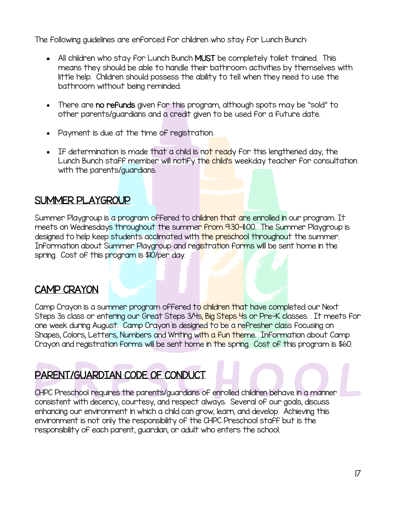The following guidelines are enforced for children who stay for Lunch Bunch:

- All children who stay for Lunch Bunch MUST be completely toilet trained. This means they should be able to handle their bathroom activities by themselves with little help. Children should possess the ability to tell when they need to use the bathroom without being reminded.
- There are no refunds given for this program, although spots may be "sold" to other parents/guardians and a credit given to be used for a future date.
- Payment is due at the time of registration.
- If determination is made that a child is not ready for this lengthened day, the Lunch Bunch staff member will notify the child's weekday teacher for consultation with the parents/guardians.

#### SUMMER PLAYGROUP

Summer Playgroup is a program offered to children that are enrolled in our program. It meets on Wednesdays throughout the summer from 9:30-11:00. The Summer Playgroup is designed to help keep students acclimated with the preschool throughout the summer. Information about Summer Playgroup and registration forms will be sent home in the spring. Cost of this program is \$10/per day.

#### CAMP CRAYON

Camp Crayon is a summer program offered to children that have completed our Next Steps 3s class or entering our Great Steps 3/4s, Big Steps 4s or Pre-K classes. . It meets for one week during August. Camp Crayon is designed to be a refresher class focusing on Shapes, Colors, Letters, Numbers and Writing with a fun theme. Information about Camp Crayon and registration forms will be sent home in the spring. Cost of this program is \$60.

# PARENT/GUARDIAN CODE OF CONDUCT

CHPC Preschool requires the parents/guardians of enrolled children behave in a manner consistent with decency, courtesy, and respect always. Several of our goals, discuss enhancing our environment in which a child can grow, learn, and develop. Achieving this environment is not only the responsibility of the CHPC Preschool staff but is the responsibility of each parent, guardian, or adult who enters the school.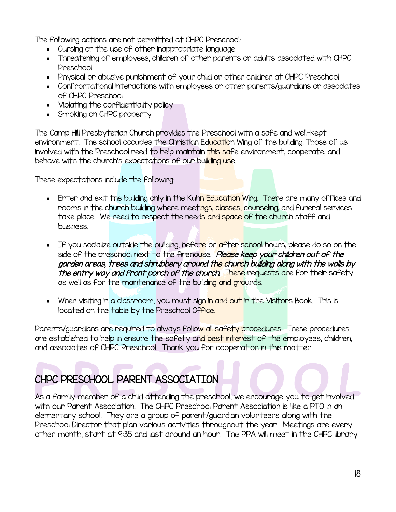The following actions are not permitted at CHPC Preschool:

- Cursing or the use of other inappropriate language
- Threatening of employees, children of other parents or adults associated with CHPC Preschool.
- Physical or abusive punishment of your child or other children at CHPC Preschool
- Confrontational interactions with employees or other parents/guardians or associates of CHPC Preschool.
- Violating the confidentiality policy
- Smoking on CHPC property

The Camp Hill Presbyterian Church provides the Preschool with a safe and well-kept environment. The school occupies the Christian Education Wing of the building. Those of us involved with the Preschool need to help maintain this safe environment, cooperate, and behave with the church's expectations of our building use.

These expectations include the following:

- Enter and exit the building only in the Kuhn Education Wing. There are many offices and rooms in the church building where meetings, classes, counseling, and funeral services take place. We need to respect the needs and space of the church staff and business.
- If you socialize outside the building, before or after school hours, please do so on the side of the preschool next to the firehouse. Please keep your children out of the garden areas, trees and shrubbery around the church building along with the walls by the entry way and front porch of the church. These requests are for their safety as well as for the maintenance of the building and grounds.
- When visiting in a classroom, you must sign in and out in the Visitors Book. This is located on the table by the Preschool Office.

Parents/guardians are required to always follow all safety procedures. These procedures are established to help in ensure the safety and best interest of the employees, children, and associates of CHPC Preschool. Thank you for cooperation in this matter.

# CHPC PRESCHOOL PARENT ASSOCIATION

As a family member of a child attending the preschool, we encourage you to get involved with our Parent Association. The CHPC Preschool Parent Association is like a PTO in an elementary school. They are a group of parent/guardian volunteers along with the Preschool Director that plan various activities throughout the year. Meetings are every other month, start at 9:35 and last around an hour. The PPA will meet in the CHPC library.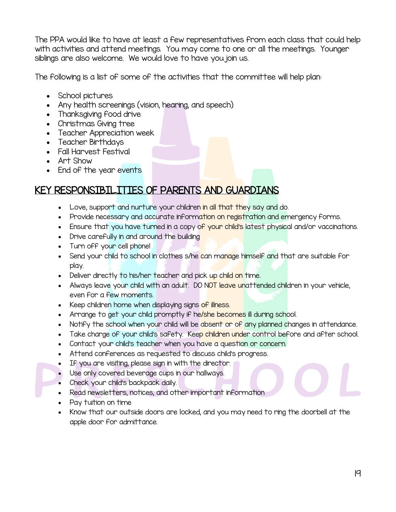The PPA would like to have at least a few representatives from each class that could help with activities and attend meetings. You may come to one or all the meetings. Younger siblings are also welcome. We would love to have you join us.

The following is a list of some of the activities that the committee will help plan:

- School pictures
- Any health screenings (vision, hearing, and speech)
- Thanksgiving food drive
- Christmas Giving tree
- Teacher Appreciation week
- Teacher Birthdays
- Fall Harvest Festival
- Art Show
- End of the year events

#### KEY RESPONSIBILITIES OF PARENTS AND GUARDIANS

- Love, support and nurture your children in all that they say and do.
- Provide necessary and accurate information on registration and emergency forms.
- Ensure that you have turned in a copy of your child's latest physical and/or vaccinations.
- Drive carefully in and around the building
- Turn off your cell phone!
- Send your child to school in clothes s/he can manage himself and that are suitable for play.
- Deliver directly to his/her teacher and pick up child on time.
- Always leave your child with an adult. DO NOT leave unattended children in your vehicle, even for a few moments.
- Keep children home when displaying signs of illness.
- Arrange to get your child promptly if he/she becomes ill during school.
- Notify the school when your child will be absent or of any planned changes in attendance.
- Take change of your child's safety. Keep children under control [before](http://www.ucumpreschool.com/#before or after school) [and after school.](http://www.ucumpreschool.com/#before or after school)
- Contact your child's teacher when you have a question or concern.
- Attend conferences as requested to discuss child's progress.
- If you are visiting, please sign in with the director.
- Use only covered beverage cups in our hallways.
- Check your child's backpack daily.
- Read newsletters, notices, and other important information
- Pay tuition on time
- Know that our outside doors are locked, and you may need to ring the doorbell at the apple door for admittance.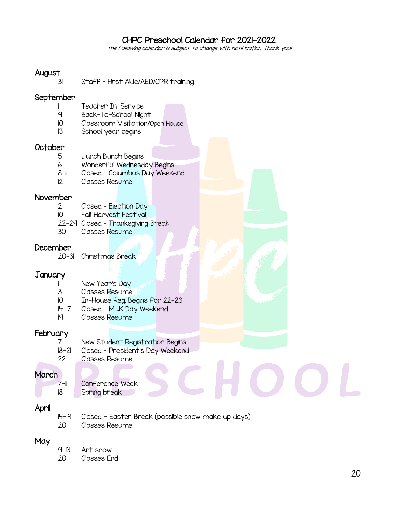#### CHPC Preschool Calendar for 2021-2022

. The following calendar is subject to change with notification. Thank you!

#### August

31 Staff – First Aide/AED/CPR training

#### September

- Teacher In-Service
- 9 Back-To-School Night
- 10 Classroom Visitation/Open House
- 13 School year begins

#### October

- 5 Lunch Bunch Begins
- 6 Wonderful Wednesday Begins
- 8-II Closed Columbus Day Weekend
- 12 Classes Resume

#### November

- 2 Closed Election Day
- 10 Fall Harvest Festival
- 22-29 Closed Thanksgiving Break
- 30 Classes Resume

#### December

20-31 Christmas Break

#### January

- New Year's Day
- 3 Classes Resume
- 10 In-House Reg. Begins for 22-23
- 14-17 Closed MLK Day Weekend
- 19 Classes Resume

#### **February**

- 7 New Student Registration Begins
- 18-21 Closed President's Day Weekend
- 22 Classes Resume

#### **March**

 7-11 Conference Week 18 Spring break

#### April

- 14-19 Closed Easter Break (possible snow make up days)
- 20 Classes Resume

#### **May**

- 9-13 Art show
- 20 Classes End